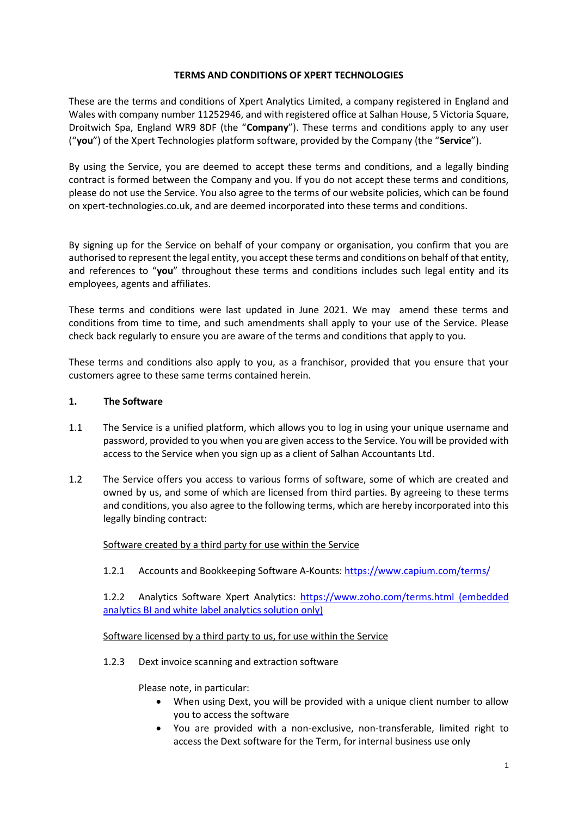### **TERMS AND CONDITIONS OF XPERT TECHNOLOGIES**

These are the terms and conditions of Xpert Analytics Limited, a company registered in England and Wales with company number 11252946, and with registered office at Salhan House, 5 Victoria Square, Droitwich Spa, England WR9 8DF (the "**Company**"). These terms and conditions apply to any user ("**you**") of the Xpert Technologies platform software, provided by the Company (the "**Service**").

By using the Service, you are deemed to accept these terms and conditions, and a legally binding contract is formed between the Company and you. If you do not accept these terms and conditions, please do not use the Service. You also agree to the terms of our website policies, which can be found on xpert-technologies.co.uk, and are deemed incorporated into these terms and conditions.

By signing up for the Service on behalf of your company or organisation, you confirm that you are authorised to represent the legal entity, you accept these terms and conditions on behalf of that entity, and references to "**you**" throughout these terms and conditions includes such legal entity and its employees, agents and affiliates.

These terms and conditions were last updated in June 2021. We may amend these terms and conditions from time to time, and such amendments shall apply to your use of the Service. Please check back regularly to ensure you are aware of the terms and conditions that apply to you.

These terms and conditions also apply to you, as a franchisor, provided that you ensure that your customers agree to these same terms contained herein.

### **1. The Software**

- 1.1 The Service is a unified platform, which allows you to log in using your unique username and password, provided to you when you are given access to the Service. You will be provided with access to the Service when you sign up as a client of Salhan Accountants Ltd.
- 1.2 The Service offers you access to various forms of software, some of which are created and owned by us, and some of which are licensed from third parties. By agreeing to these terms and conditions, you also agree to the following terms, which are hereby incorporated into this legally binding contract:

### Software created by a third party for use within the Service

1.2.1 Accounts and Bookkeeping Software A-Kounts:<https://www.capium.com/terms/>

1.2.2 Analytics Software Xpert Analytics:<https://www.zoho.com/terms.html> (embedded analytics BI and white label analytics solution only)

### Software licensed by a third party to us, for use within the Service

1.2.3 Dext invoice scanning and extraction software

Please note, in particular:

- When using Dext, you will be provided with a unique client number to allow you to access the software
- You are provided with a non-exclusive, non-transferable, limited right to access the Dext software for the Term, for internal business use only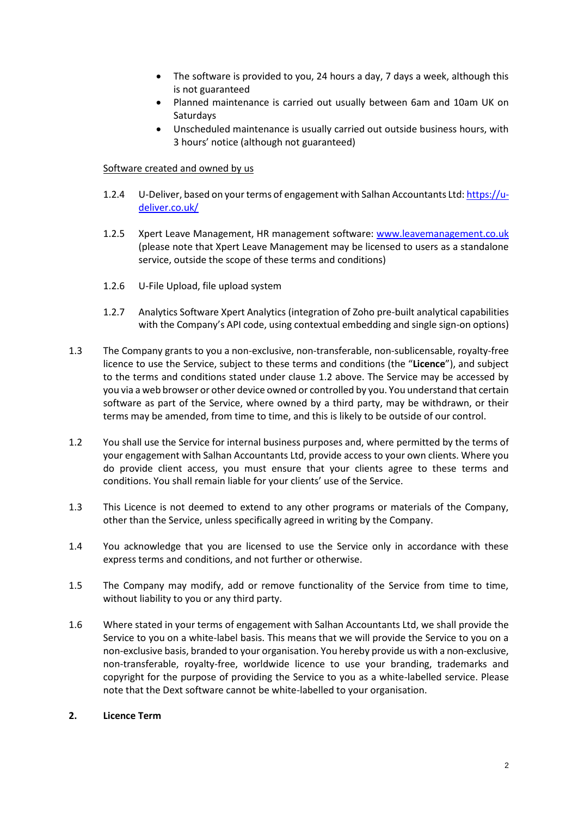- The software is provided to you, 24 hours a day, 7 days a week, although this is not guaranteed
- Planned maintenance is carried out usually between 6am and 10am UK on Saturdays
- Unscheduled maintenance is usually carried out outside business hours, with 3 hours' notice (although not guaranteed)

# Software created and owned by us

- 1.2.4 U-Deliver, based on your terms of engagement with Salhan Accountants Ltd[: https://u](https://u-deliver.co.uk/)[deliver.co.uk/](https://u-deliver.co.uk/)
- 1.2.5 Xpert Leave Management, HR management software: [www.leavemanagement.co.uk](http://www.leavemanagement.co.uk/) (please note that Xpert Leave Management may be licensed to users as a standalone service, outside the scope of these terms and conditions)
- 1.2.6 U-File Upload, file upload system
- 1.2.7 Analytics Software Xpert Analytics (integration of Zoho pre-built analytical capabilities with the Company's API code, using contextual embedding and single sign-on options)
- 1.3 The Company grants to you a non-exclusive, non-transferable, non-sublicensable, royalty-free licence to use the Service, subject to these terms and conditions (the "**Licence**"), and subject to the terms and conditions stated under clause 1.2 above. The Service may be accessed by you via a web browser or other device owned or controlled by you. You understand that certain software as part of the Service, where owned by a third party, may be withdrawn, or their terms may be amended, from time to time, and this is likely to be outside of our control.
- 1.2 You shall use the Service for internal business purposes and, where permitted by the terms of your engagement with Salhan Accountants Ltd, provide access to your own clients. Where you do provide client access, you must ensure that your clients agree to these terms and conditions. You shall remain liable for your clients' use of the Service.
- 1.3 This Licence is not deemed to extend to any other programs or materials of the Company, other than the Service, unless specifically agreed in writing by the Company.
- 1.4 You acknowledge that you are licensed to use the Service only in accordance with these express terms and conditions, and not further or otherwise.
- 1.5 The Company may modify, add or remove functionality of the Service from time to time, without liability to you or any third party.
- 1.6 Where stated in your terms of engagement with Salhan Accountants Ltd, we shall provide the Service to you on a white-label basis. This means that we will provide the Service to you on a non-exclusive basis, branded to your organisation. You hereby provide us with a non-exclusive, non-transferable, royalty-free, worldwide licence to use your branding, trademarks and copyright for the purpose of providing the Service to you as a white-labelled service. Please note that the Dext software cannot be white-labelled to your organisation.

### **2. Licence Term**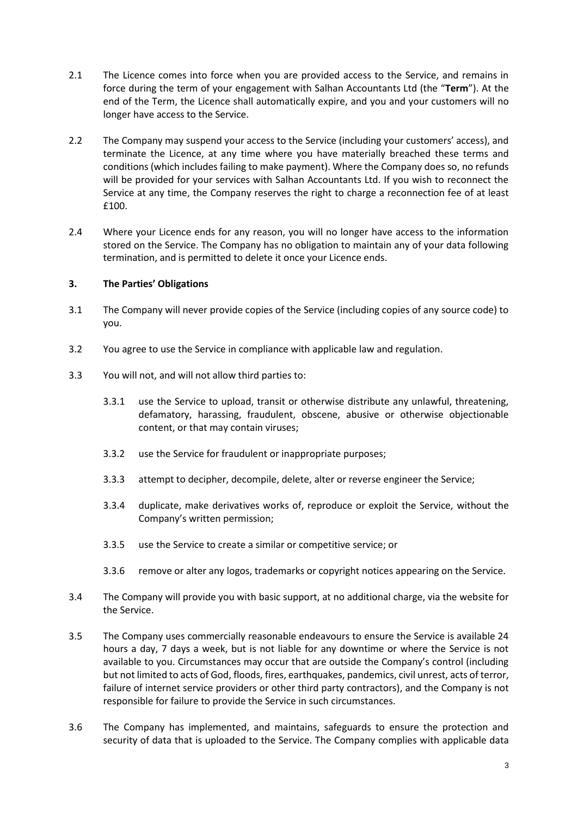- 2.1 The Licence comes into force when you are provided access to the Service, and remains in force during the term of your engagement with Salhan Accountants Ltd (the "**Term**"). At the end of the Term, the Licence shall automatically expire, and you and your customers will no longer have access to the Service.
- 2.2 The Company may suspend your access to the Service (including your customers' access), and terminate the Licence, at any time where you have materially breached these terms and conditions (which includes failing to make payment). Where the Company does so, no refunds will be provided for your services with Salhan Accountants Ltd. If you wish to reconnect the Service at any time, the Company reserves the right to charge a reconnection fee of at least £100.
- 2.4 Where your Licence ends for any reason, you will no longer have access to the information stored on the Service. The Company has no obligation to maintain any of your data following termination, and is permitted to delete it once your Licence ends.

# **3. The Parties' Obligations**

- 3.1 The Company will never provide copies of the Service (including copies of any source code) to you.
- 3.2 You agree to use the Service in compliance with applicable law and regulation.
- 3.3 You will not, and will not allow third parties to:
	- 3.3.1 use the Service to upload, transit or otherwise distribute any unlawful, threatening, defamatory, harassing, fraudulent, obscene, abusive or otherwise objectionable content, or that may contain viruses;
	- 3.3.2 use the Service for fraudulent or inappropriate purposes;
	- 3.3.3 attempt to decipher, decompile, delete, alter or reverse engineer the Service;
	- 3.3.4 duplicate, make derivatives works of, reproduce or exploit the Service, without the Company's written permission;
	- 3.3.5 use the Service to create a similar or competitive service; or
	- 3.3.6 remove or alter any logos, trademarks or copyright notices appearing on the Service.
- 3.4 The Company will provide you with basic support, at no additional charge, via the website for the Service.
- 3.5 The Company uses commercially reasonable endeavours to ensure the Service is available 24 hours a day, 7 days a week, but is not liable for any downtime or where the Service is not available to you. Circumstances may occur that are outside the Company's control (including but not limited to acts of God, floods, fires, earthquakes, pandemics, civil unrest, acts of terror, failure of internet service providers or other third party contractors), and the Company is not responsible for failure to provide the Service in such circumstances.
- 3.6 The Company has implemented, and maintains, safeguards to ensure the protection and security of data that is uploaded to the Service. The Company complies with applicable data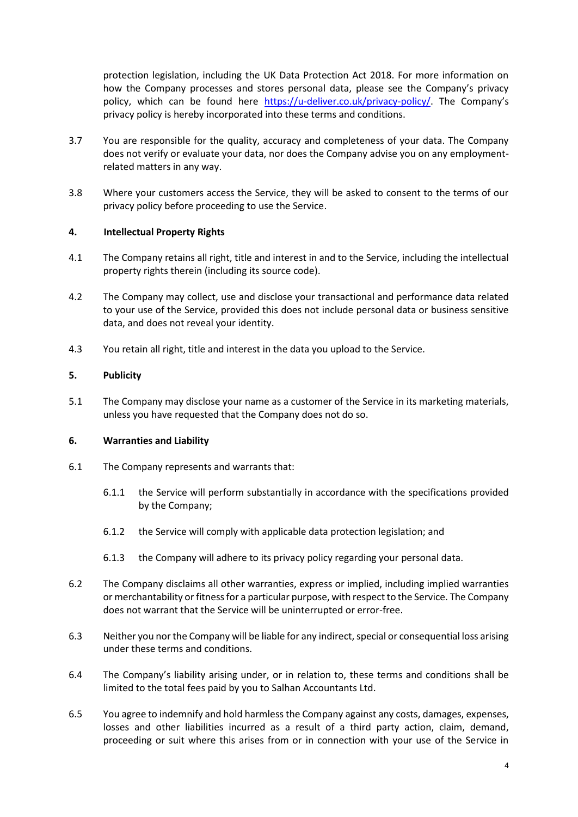protection legislation, including the UK Data Protection Act 2018. For more information on how the Company processes and stores personal data, please see the Company's privacy policy, which can be found here <https://u-deliver.co.uk/privacy-policy/>. The Company's privacy policy is hereby incorporated into these terms and conditions.

- 3.7 You are responsible for the quality, accuracy and completeness of your data. The Company does not verify or evaluate your data, nor does the Company advise you on any employmentrelated matters in any way.
- 3.8 Where your customers access the Service, they will be asked to consent to the terms of our privacy policy before proceeding to use the Service.

# **4. Intellectual Property Rights**

- 4.1 The Company retains all right, title and interest in and to the Service, including the intellectual property rights therein (including its source code).
- 4.2 The Company may collect, use and disclose your transactional and performance data related to your use of the Service, provided this does not include personal data or business sensitive data, and does not reveal your identity.
- 4.3 You retain all right, title and interest in the data you upload to the Service.

# **5. Publicity**

5.1 The Company may disclose your name as a customer of the Service in its marketing materials, unless you have requested that the Company does not do so.

### **6. Warranties and Liability**

- 6.1 The Company represents and warrants that:
	- 6.1.1 the Service will perform substantially in accordance with the specifications provided by the Company;
	- 6.1.2 the Service will comply with applicable data protection legislation; and
	- 6.1.3 the Company will adhere to its privacy policy regarding your personal data.
- 6.2 The Company disclaims all other warranties, express or implied, including implied warranties or merchantability or fitness for a particular purpose, with respect to the Service. The Company does not warrant that the Service will be uninterrupted or error-free.
- 6.3 Neither you nor the Company will be liable for any indirect, special or consequential loss arising under these terms and conditions.
- 6.4 The Company's liability arising under, or in relation to, these terms and conditions shall be limited to the total fees paid by you to Salhan Accountants Ltd.
- 6.5 You agree to indemnify and hold harmless the Company against any costs, damages, expenses, losses and other liabilities incurred as a result of a third party action, claim, demand, proceeding or suit where this arises from or in connection with your use of the Service in